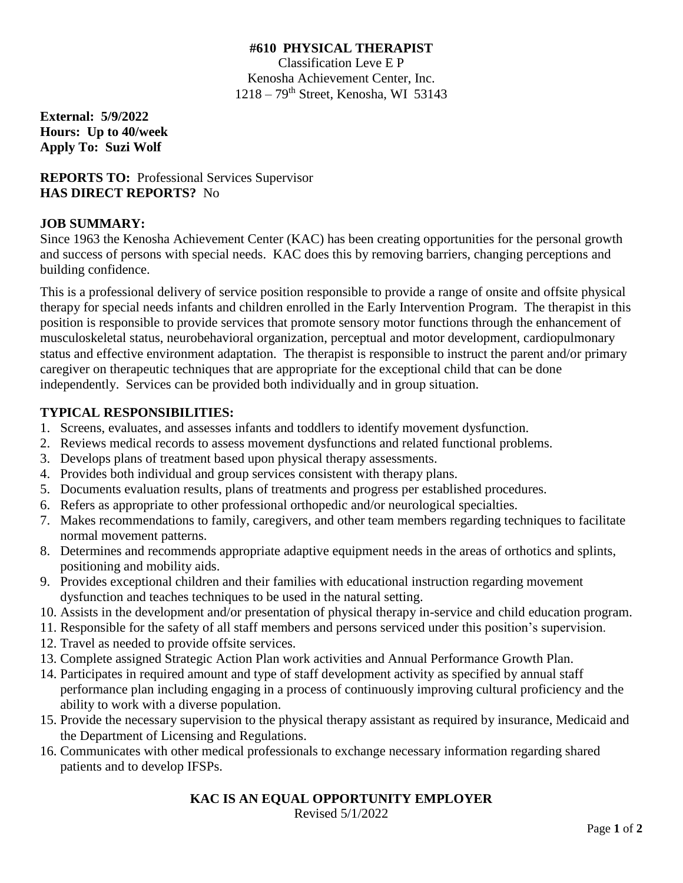### **#610 PHYSICAL THERAPIST**

Classification Leve E P Kenosha Achievement Center, Inc.  $1218 - 79$ <sup>th</sup> Street, Kenosha, WI 53143

**External: 5/9/2022 Hours: Up to 40/week Apply To: Suzi Wolf**

**REPORTS TO:** Professional Services Supervisor **HAS DIRECT REPORTS?** No

# **JOB SUMMARY:**

Since 1963 the Kenosha Achievement Center (KAC) has been creating opportunities for the personal growth and success of persons with special needs. KAC does this by removing barriers, changing perceptions and building confidence.

This is a professional delivery of service position responsible to provide a range of onsite and offsite physical therapy for special needs infants and children enrolled in the Early Intervention Program. The therapist in this position is responsible to provide services that promote sensory motor functions through the enhancement of musculoskeletal status, neurobehavioral organization, perceptual and motor development, cardiopulmonary status and effective environment adaptation. The therapist is responsible to instruct the parent and/or primary caregiver on therapeutic techniques that are appropriate for the exceptional child that can be done independently. Services can be provided both individually and in group situation.

# **TYPICAL RESPONSIBILITIES:**

- 1. Screens, evaluates, and assesses infants and toddlers to identify movement dysfunction.
- 2. Reviews medical records to assess movement dysfunctions and related functional problems.
- 3. Develops plans of treatment based upon physical therapy assessments.
- 4. Provides both individual and group services consistent with therapy plans.
- 5. Documents evaluation results, plans of treatments and progress per established procedures.
- 6. Refers as appropriate to other professional orthopedic and/or neurological specialties.
- 7. Makes recommendations to family, caregivers, and other team members regarding techniques to facilitate normal movement patterns.
- 8. Determines and recommends appropriate adaptive equipment needs in the areas of orthotics and splints, positioning and mobility aids.
- 9. Provides exceptional children and their families with educational instruction regarding movement dysfunction and teaches techniques to be used in the natural setting.
- 10. Assists in the development and/or presentation of physical therapy in-service and child education program.
- 11. Responsible for the safety of all staff members and persons serviced under this position's supervision.
- 12. Travel as needed to provide offsite services.
- 13. Complete assigned Strategic Action Plan work activities and Annual Performance Growth Plan.
- 14. Participates in required amount and type of staff development activity as specified by annual staff performance plan including engaging in a process of continuously improving cultural proficiency and the ability to work with a diverse population.
- 15. Provide the necessary supervision to the physical therapy assistant as required by insurance, Medicaid and the Department of Licensing and Regulations.
- 16. Communicates with other medical professionals to exchange necessary information regarding shared patients and to develop IFSPs.

# **KAC IS AN EQUAL OPPORTUNITY EMPLOYER**

Revised 5/1/2022